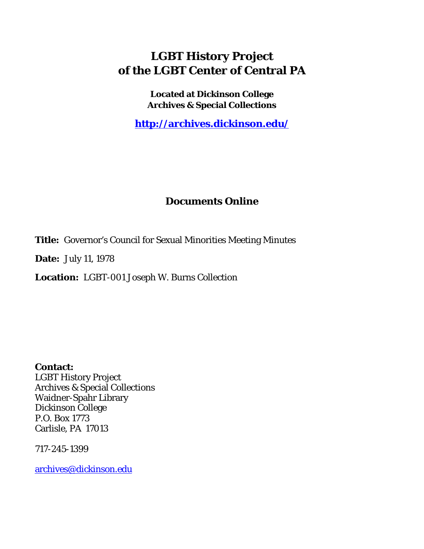# **LGBT History Project of the LGBT Center of Central PA**

**Located at Dickinson College Archives & Special Collections**

**<http://archives.dickinson.edu/>**

# **Documents Online**

**Title:** Governor's Council for Sexual Minorities Meeting Minutes

**Date:** July 11, 1978

**Location:** LGBT-001 Joseph W. Burns Collection

**Contact:**  LGBT History Project Archives & Special Collections Waidner-Spahr Library Dickinson College P.O. Box 1773 Carlisle, PA 17013

717-245-1399

[archives@dickinson.edu](mailto:archives@dickinson.edu)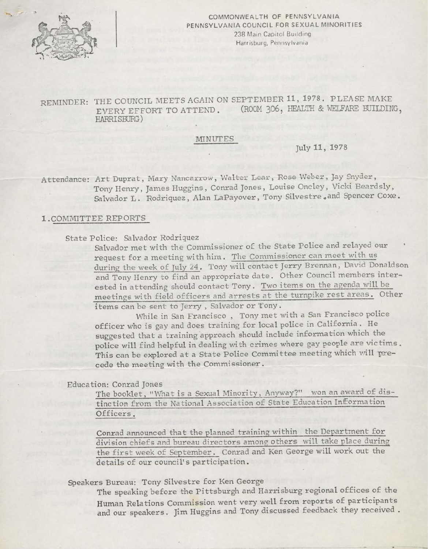

COMMONWEALTH OF PENNSYLVANIA PENNSYLVANIA COUNCIL FOR SEXUAL MINORITIES 238 Main Capitol Building Harrisburg, Pennsylvania

REMINDER: THE COUNCIL MEETS AGAIN ON SEPTEMBER 11, 1978. PLEASE MAKE<br>FVERY FEFORT TO ATTEND. (ROOM 306, HEALTH & WELFARE BUILDING, EVERY EFFORT TO ATTEND. HARRISBURG)

#### MINUTES

July 11, 1978

Attendance: Art Duprat, Mary Nancarrow, Walter Lear, Rose Weber, Jay Snyder, Tony Henry, James Huggins, Conrad Jones, Louise Oncley, Vicki Beardsly, Salvador L. Rodriquez, Alan LaPayover, Tony Silvestre, and Spencer Coxe.

#### 1 -COMMITTEE REPORTS

## State Police: Salvador Rodriquez

Salvador met with the Commissioner of the State Police and relayed our request for a meeting with him. The Commissioner can meet with us during the week of July 24. Tony will contact Jerry Brennan, David Donaldson and Tony Henry to find an appropriate date. Other Council members interested in attending should contact Tony. Two items on the agenda will be meetings with field officers and arrests at the turnpike rest areas. Other items can be sent to Jerry , Salvador or Tony .

While in San Francisco , Tony met with a San Francisco police officer who is gay and does training for local police in California . He suggested that a training approach should include information which the police will find helpful in dealing with crimes where gay people are victims . This can be explored at a State Police Committee meeting which will precede the meeting with the Commissioner.

#### Education: Conrad Jones

The booklet, "What is a Sexual Minority, Anyway?" won an award of distinction. from the National Association of State Education Information Officers.

Conrad announced that the planned training within the Department for division chiefs and bureau directors among others will take place during the first week of September. Conrad and Ken George will work out the details of our council's participation.

Speakers Bureau: Tony Silvestre for Ken George

The speaking before the Pittsburgh and Harrisburg regional offices of the Human Relations Commission went very well from reports of participants and our speakers. Jim Huggins and Tony discussed feedback they received .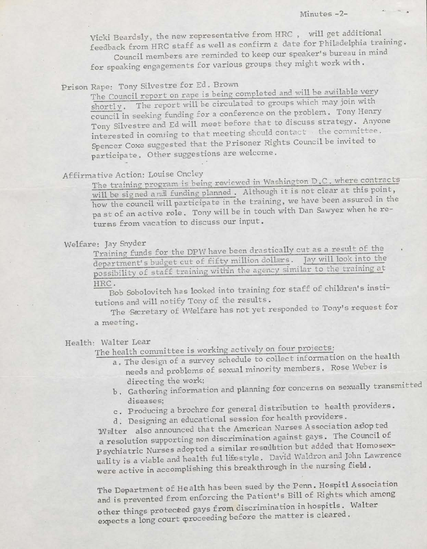Vicki Beardsly, the new representative from HRC , will get additional, feedback from HRC staff as well as confirm a date for Philadelphia training

Council members are reminded to keep our speaker's bureau in mind for speaking engagements for various groups they might work with .

# Prison Rape: Tony Silvestre for Ed . Brown

The Council report on rape is being completed and will be available very shortly. The report will be circulated to groups which may join with council'in seeking funding for a conference on the problem. Tony Henry Tony Silvestre and Ed will meet before that to discuss strategy.. Anyone interested in comiing to that meeting should contact the committee. Spencer Coxe suggested that the Prisoner Rights Council be invited to participate. Other suggestions are welcome.

# Affirmative Action: Louise Oncley

The training program is being reviewed in Washington D.C. where contracts will be signed and funding planned. Although it is not clear at this point, how the council will participate in the training, we have been assured in the pa st of an active role. Tony will be in touch with Dan Sawyer when he returns from vacation to discuss our input.

## Welfare: Jay Snyder

Training funds for the DPW have been drastically cut as a result of the department's budget cut of fifty million dollars. Jay will look into the possibility of staff training within the agency similar to the training at

#### HRC.

Bob Sobolovitch has looked into training for staff of children's institutions and will notify Tony of the results .

The Secretary of VWelfare has not yet responded to Tony's request for a meeting.

## Health: Walter Lear

The health committee is working actively on four projects:

- a. The design of <sup>a</sup> survey schedule to collect information on the health needs and problems of sexual minority members. Rose Weber is directing the work;
- b . Gathering information and planning for concerns on sexually transmitted diseases;
- c . Producing a brochre for general distribution to health providers .
- d . Designing an educational session for health providers .

Walter also announced that the American Nurses Association as opted a resolution supporting non discrimination against gays. The Council of Psychiatric Nurses adopted a similar resolution but added that Homosexuality is a viable and health ful lifestyle . David Waldron and John Lawrence were active in accomplishing this breakthrough in the nursing field .

The Department of Health has been sued by the Penn. Hospitl Association and is prevented from enforcing the Patient's Bill of Rights which among other things protected gays from discrimination in hospitls. Walter expects a long court proceeding before the matter is cleared.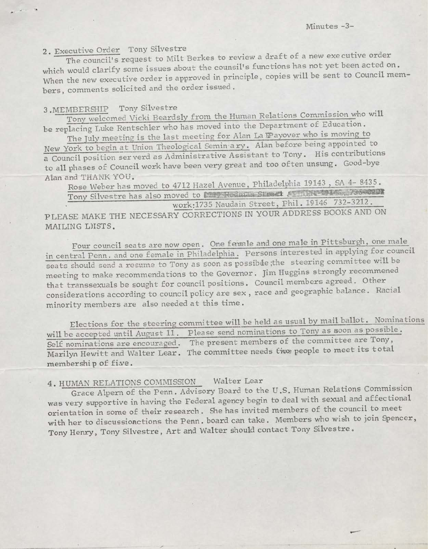# <sup>2</sup> . Executive Order Tony Silvestre .

ECULIVE ORDER TONY SINCESSES. The council's request to three is the counsil's functions has not yet been acted on. When the new executive order is approved in principle, copies will be sent to Council mem bers, comments solicited and the order issued.

# 3. MEMBERSHIP Tony Silvestre the state of the state of the state of the state of the state of the state of the state of the state of the state of the state of the state of the state of the state of the state of the state o

Tony welcomed Vicki Beardsly from the Human Relations Commission who will be replacing Luke Rentschler who has moved into the Department of Education.

The July meeting is the last meeting for Alan La Payover who is moving to New Order Tony Silvestre<br>
The council's request to Milt Berkes to review a draft of a new executive<br>
which would clarify some issues about the counsil's functions has not yet been a<br>
when the new executive order is approve New York to begin at Union Theological Schill and Theory. His contributions<br>a Council position serverd as Administrative Assistant to Tony. His contributions to all phases of Council work have been very great and too often unsung. Good-bye Alan and THANK YOU. York to begin at Union Theological Semin ary. Alan before being appointed to

Rose Weber has moved to 4712 Hazel Avenue, Philadelphia 19143, SA 4-8435. work:1735 Naudain Street, Phil. 19146 732-3212 .  $\frac{1}{2}$  Tony Silvestre has also moved to **lead Redman Sirest Alberta 19146** 

PLEASE MAKE THE NECESSARY CORRECTIONS IN YOUR ADDRESS BOOKS AND ON MAILING LHSTS.

Four council seats are now open. One fermale and one male in Pittsburgh, one male in central Penn, and one female in Philadelphia . Persons interested in applying for council seats should send a resume to Tony as soon as possibde; the steering committee will be meeting to make recommendations to the Governor. Jim Huggins strongly recommened that transsexuals be sought for council positions. Council members agreed. Other considerations according to council policy are sex , race and geographic balance . Racial minority members are also needed at this time .

Elections for the steering committee will be held as usual by mail ballot. Nominations will be accepted until August 11. Please send nominations to Tony as soon as possible. Self nominations are encouraged. The present members of the committee are Tony, Marilyn Hewitt and Walter Lear. The committee needs twee people to meet its total membershi p of fiwe .

## 4. HUMAN RELATIONS COMMISSION Walter Lear

Grace Alpem of the Penn. Advisory Board to the U.S. Human Relations Commission was very supportive in having the Federal agency begin to deal with sexual and affectional orientation in some of their research . Sie has invited members of the council to meet with her to discussioactions the Penn, board can take. Members who wish to join Spencer, Tony Henry, Tony Silvestre, Art and Walter should contact Tony Silvestre.